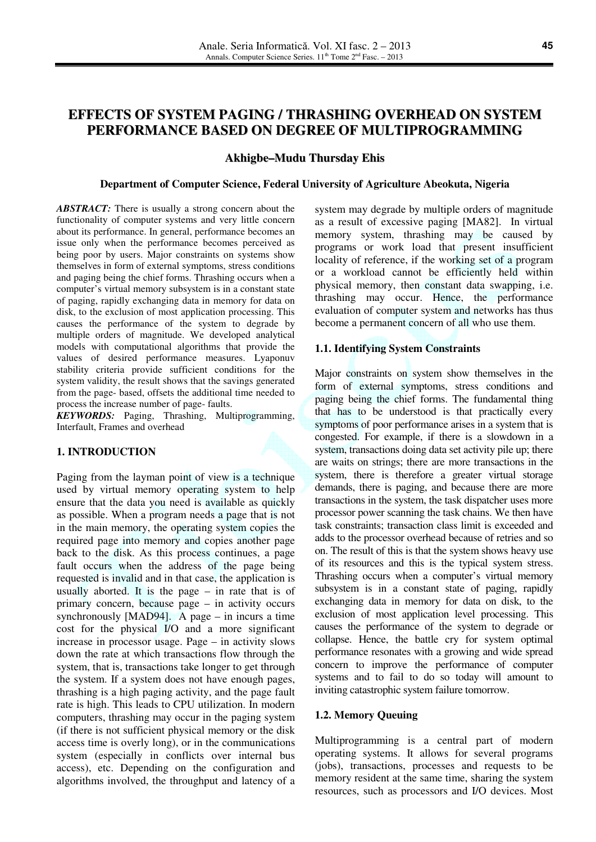# **EFFECTS OF SYSTEM PAGING / THRASHING OVERHEAD ON SYSTEM PERFORMANCE BASED ON DEGREE OF MULTIPROGRAMMING**

# **Akhigbe–Mudu Thursday Ehis**

#### **Department of Computer Science, Federal University of Agriculture Abeokuta, Nigeria**

*ABSTRACT:* There is usually a strong concern about the functionality of computer systems and very little concern about its performance. In general, performance becomes an issue only when the performance becomes perceived as being poor by users. Major constraints on systems show themselves in form of external symptoms, stress conditions and paging being the chief forms. Thrashing occurs when a computer's virtual memory subsystem is in a constant state of paging, rapidly exchanging data in memory for data on disk, to the exclusion of most application processing. This causes the performance of the system to degrade by multiple orders of magnitude. We developed analytical models with computational algorithms that provide the values of desired performance measures. Lyaponuv stability criteria provide sufficient conditions for the system validity, the result shows that the savings generated from the page- based, offsets the additional time needed to process the increase number of page- faults.

*KEYWORDS:* Paging, Thrashing, Multiprogramming, Interfault, Frames and overhead

#### **1. INTRODUCTION**

Paging from the layman point of view is a technique used by virtual memory operating system to help ensure that the data you need is available as quickly as possible. When a program needs a page that is not in the main memory, the operating system copies the required page into memory and copies another page back to the disk. As this process continues, a page fault occurs when the address of the page being requested is invalid and in that case, the application is usually aborted. It is the page – in rate that is of primary concern, because page – in activity occurs synchronously [MAD94]. A page – in incurs a time cost for the physical I/O and a more significant increase in processor usage. Page – in activity slows down the rate at which transactions flow through the system, that is, transactions take longer to get through the system. If a system does not have enough pages, thrashing is a high paging activity, and the page fault rate is high. This leads to CPU utilization. In modern computers, thrashing may occur in the paging system (if there is not sufficient physical memory or the disk access time is overly long), or in the communications system (especially in conflicts over internal bus access), etc. Depending on the configuration and algorithms involved, the throughput and latency of a

system may degrade by multiple orders of magnitude as a result of excessive paging [MA82]. In virtual memory system, thrashing may be caused by programs or work load that present insufficient locality of reference, if the working set of a program or a workload cannot be efficiently held within physical memory, then constant data swapping, i.e. thrashing may occur. Hence, the performance evaluation of computer system and networks has thus become a permanent concern of all who use them.

#### **1.1. Identifying System Constraints**

Major constraints on system show themselves in the form of external symptoms, stress conditions and paging being the chief forms. The fundamental thing that has to be understood is that practically every symptoms of poor performance arises in a system that is congested. For example, if there is a slowdown in a system, transactions doing data set activity pile up; there are waits on strings; there are more transactions in the system, there is therefore a greater virtual storage demands, there is paging, and because there are more transactions in the system, the task dispatcher uses more processor power scanning the task chains. We then have task constraints; transaction class limit is exceeded and adds to the processor overhead because of retries and so on. The result of this is that the system shows heavy use of its resources and this is the typical system stress. Thrashing occurs when a computer's virtual memory subsystem is in a constant state of paging, rapidly exchanging data in memory for data on disk, to the exclusion of most application level processing. This causes the performance of the system to degrade or collapse. Hence, the battle cry for system optimal performance resonates with a growing and wide spread concern to improve the performance of computer systems and to fail to do so today will amount to inviting catastrophic system failure tomorrow.

## **1.2. Memory Queuing**

Multiprogramming is a central part of modern operating systems. It allows for several programs (jobs), transactions, processes and requests to be memory resident at the same time, sharing the system resources, such as processors and I/O devices. Most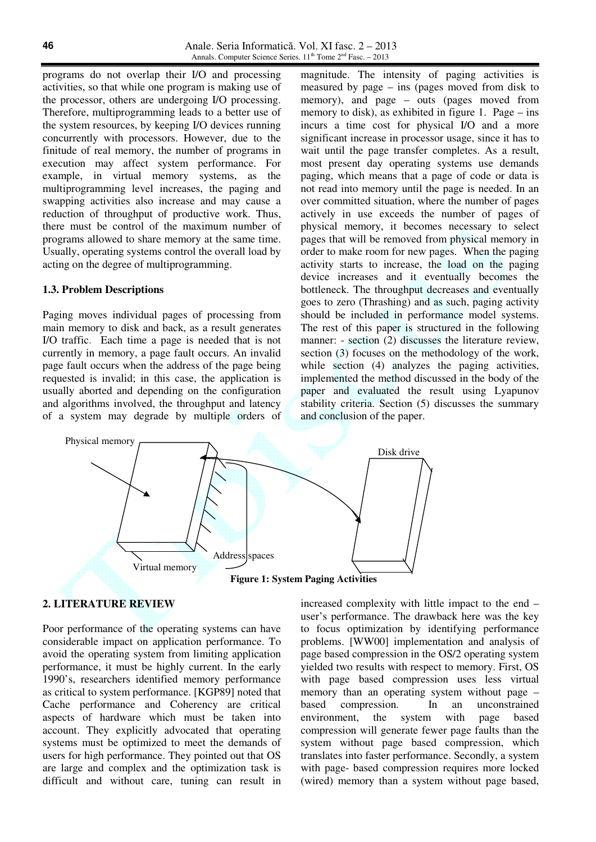programs do not overlap their I/O and processing activities, so that while one program is making use of the processor, others are undergoing I/O processing. Therefore, multiprogramming leads to a better use of the system resources, by keeping I/O devices running concurrently with processors. However, due to the finitude of real memory, the number of programs in execution may affect system performance. For example, in virtual memory systems, as the multiprogramming level increases, the paging and swapping activities also increase and may cause a reduction of throughput of productive work. Thus, there must be control of the maximum number of programs allowed to share memory at the same time. Usually, operating systems control the overall load by acting on the degree of multiprogramming.

#### **1.3. Problem Descriptions**

Paging moves individual pages of processing from main memory to disk and back, as a result generates I/O traffic. Each time a page is needed that is not currently in memory, a page fault occurs. An invalid page fault occurs when the address of the page being requested is invalid; in this case, the application is usually aborted and depending on the configuration and algorithms involved, the throughput and latency of a system may degrade by multiple orders of

magnitude. The intensity of paging activities is measured by page – ins (pages moved from disk to memory), and page – outs (pages moved from memory to disk), as exhibited in figure 1. Page – ins incurs a time cost for physical I/O and a more significant increase in processor usage, since it has to wait until the page transfer completes. As a result, most present day operating systems use demands paging, which means that a page of code or data is not read into memory until the page is needed. In an over committed situation, where the number of pages actively in use exceeds the number of pages of physical memory, it becomes necessary to select pages that will be removed from physical memory in order to make room for new pages. When the paging activity starts to increase, the load on the paging device increases and it eventually becomes the bottleneck. The throughput decreases and eventually goes to zero (Thrashing) and as such, paging activity should be included in performance model systems. The rest of this paper is structured in the following manner: - section (2) discusses the literature review, section (3) focuses on the methodology of the work, while section (4) analyzes the paging activities, implemented the method discussed in the body of the paper and evaluated the result using Lyapunov stability criteria. Section (5) discusses the summary and conclusion of the paper.



## **2. LITERATURE REVIEW**

Poor performance of the operating systems can have considerable impact on application performance. To avoid the operating system from limiting application performance, it must be highly current. In the early 1990's, researchers identified memory performance as critical to system performance. [KGP89] noted that Cache performance and Coherency are critical aspects of hardware which must be taken into account. They explicitly advocated that operating systems must be optimized to meet the demands of users for high performance. They pointed out that OS are large and complex and the optimization task is difficult and without care, tuning can result in increased complexity with little impact to the end – user's performance. The drawback here was the key to focus optimization by identifying performance problems. [WW00] implementation and analysis of page based compression in the OS/2 operating system yielded two results with respect to memory. First, OS with page based compression uses less virtual memory than an operating system without page – based compression. In an unconstrained environment, the system with page based compression will generate fewer page faults than the system without page based compression, which translates into faster performance. Secondly, a system with page- based compression requires more locked (wired) memory than a system without page based,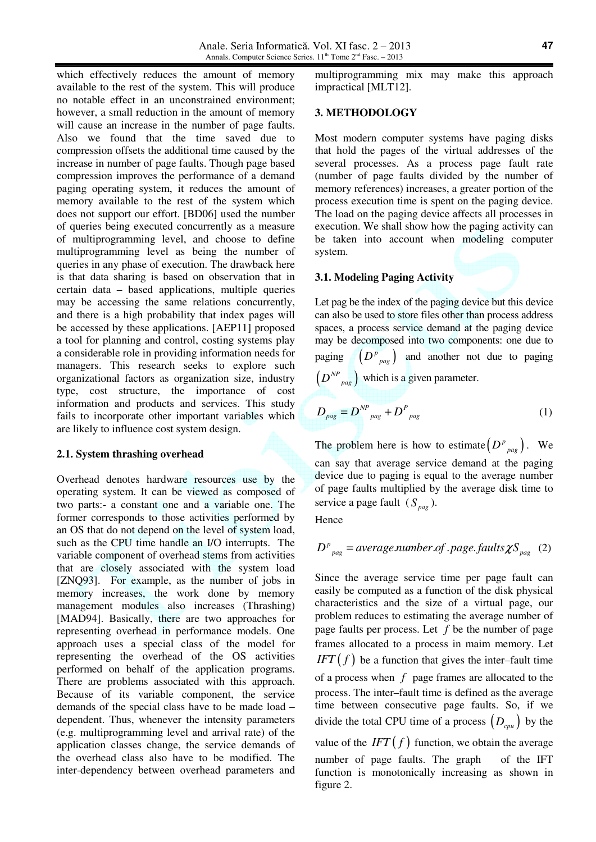which effectively reduces the amount of memory available to the rest of the system. This will produce no notable effect in an unconstrained environment; however, a small reduction in the amount of memory will cause an increase in the number of page faults. Also we found that the time saved due to compression offsets the additional time caused by the increase in number of page faults. Though page based compression improves the performance of a demand paging operating system, it reduces the amount of memory available to the rest of the system which does not support our effort. [BD06] used the number of queries being executed concurrently as a measure of multiprogramming level, and choose to define multiprogramming level as being the number of queries in any phase of execution. The drawback here is that data sharing is based on observation that in certain data – based applications, multiple queries may be accessing the same relations concurrently, and there is a high probability that index pages will be accessed by these applications. [AEP11] proposed a tool for planning and control, costing systems play a considerable role in providing information needs for managers. This research seeks to explore such organizational factors as organization size, industry type, cost structure, the importance of cost information and products and services. This study fails to incorporate other important variables which are likely to influence cost system design.

## **2.1. System thrashing overhead**

Overhead denotes hardware resources use by the operating system. It can be viewed as composed of two parts:- a constant one and a variable one. The former corresponds to those activities performed by an OS that do not depend on the level of system load, such as the CPU time handle an I/O interrupts. The variable component of overhead stems from activities that are closely associated with the system load [ZNQ93]. For example, as the number of jobs in memory increases, the work done by memory management modules also increases (Thrashing) [MAD94]. Basically, there are two approaches for representing overhead in performance models. One approach uses a special class of the model for representing the overhead of the OS activities performed on behalf of the application programs. There are problems associated with this approach. Because of its variable component, the service demands of the special class have to be made load – dependent. Thus, whenever the intensity parameters (e.g. multiprogramming level and arrival rate) of the application classes change, the service demands of the overhead class also have to be modified. The inter-dependency between overhead parameters and multiprogramming mix may make this approach impractical [MLT12].

#### **3. METHODOLOGY**

Most modern computer systems have paging disks that hold the pages of the virtual addresses of the several processes. As a process page fault rate (number of page faults divided by the number of memory references) increases, a greater portion of the process execution time is spent on the paging device. The load on the paging device affects all processes in execution. We shall show how the paging activity can be taken into account when modeling computer system.

## **3.1. Modeling Paging Activity**

Let pag be the index of the paging device but this device can also be used to store files other than process address spaces, a process service demand at the paging device may be decomposed into two components: one due to paging  $(D^p{}_{p\alpha g})$  and another not due to paging  $\left(D^{NP}_{paq}\right)$  which is a given parameter.

$$
D_{\text{pag}} = D^{\text{NP}}_{\text{pag}} + D^{\text{P}}_{\text{pag}}
$$
 (1)

The problem here is how to estimate  $(D^{p}_{paq})$ . We can say that average service demand at the paging device due to paging is equal to the average number of page faults multiplied by the average disk time to service a page fault  $(S_{pag})$ .

**Hence** 

$$
D_{\text{p}_{\text{p}_{\text{p}_{\text{p}}}}}^{\text{p}} = \text{average_number} \cdot \text{range} \cdot \text{faults} \chi S_{\text{p}_{\text{p}_{\text{p}_{\text{p}}}}} \quad (2)
$$

Since the average service time per page fault can easily be computed as a function of the disk physical characteristics and the size of a virtual page, our problem reduces to estimating the average number of page faults per process. Let *f* be the number of page frames allocated to a process in maim memory. Let *IFT*  $f$  be a function that gives the inter–fault time of a process when *f* page frames are allocated to the process. The inter–fault time is defined as the average time between consecutive page faults. So, if we divide the total CPU time of a process  $(D_{cpu}$  by the value of the  $IFT(f)$  function, we obtain the average number of page faults. The graph of the IFT function is monotonically increasing as shown in figure 2.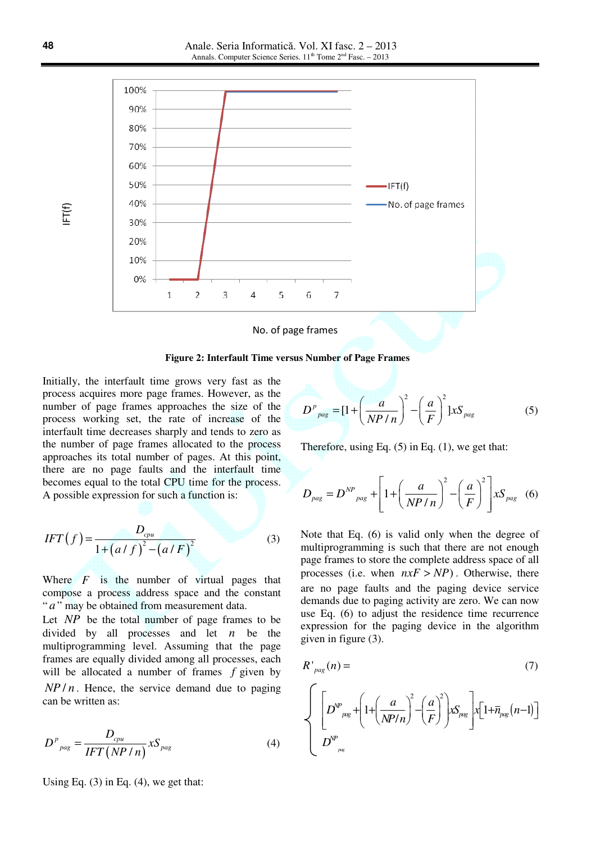

**Figure 2: Interfault Time versus Number of Page Frames**

Initially, the interfault time grows very fast as the process acquires more page frames. However, as the number of page frames approaches the size of the process working set, the rate of increase of the interfault time decreases sharply and tends to zero as the number of page frames allocated to the process approaches its total number of pages. At this point, there are no page faults and the interfault time becomes equal to the total CPU time for the process. A possible expression for such a function is:

$$
IFT(f) = \frac{D_{cpu}}{1 + (a/f)^2 - (a/F)^2}
$$
 (3)

Where *F* is the number of virtual pages that compose a process address space and the constant " *a*" may be obtained from measurement data.

Let *NP* be the total number of page frames to be divided by all processes and let *n* be the multiprogramming level. Assuming that the page frames are equally divided among all processes, each will be allocated a number of frames *f* given by  $NP/n$ . Hence, the service demand due to paging can be written as:

$$
D^{p}_{\text{pag}} = \frac{D_{\text{cpu}}}{IFT(NP/n)} X S_{\text{pag}}
$$
(4)

Using Eq.  $(3)$  in Eq.  $(4)$ , we get that:

$$
D^{p}_{\text{pag}} = \left[1 + \left(\frac{a}{NP/n}\right)^{2} - \left(\frac{a}{F}\right)^{2}\right]xS_{\text{pag}}
$$
 (5)

Therefore, using Eq.  $(5)$  in Eq.  $(1)$ , we get that:

$$
D_{\text{pag}} = D^{NP}{}_{\text{pag}} + \left[ 1 + \left( \frac{a}{NP / n} \right)^2 - \left( \frac{a}{F} \right)^2 \right] x S_{\text{pag}} \quad (6)
$$

Note that Eq. (6) is valid only when the degree of multiprogramming is such that there are not enough page frames to store the complete address space of all processes (i.e. when  $nxF > NP$ ). Otherwise, there are no page faults and the paging device service demands due to paging activity are zero. We can now use Eq. (6) to adjust the residence time recurrence expression for the paging device in the algorithm given in figure (3).

$$
R'_{\text{pag}}(n) = \qquad (7)
$$
\n
$$
\left\{ \left[ D^{\text{VP}}_{\text{pag}} + \left( 1 + \left( \frac{a}{N\text{P/n}} \right)^2 - \left( \frac{a}{F} \right)^2 \right) x S_{\text{pag}} \right] x \left[ 1 + \overline{n}_{\text{pag}}(n-1) \right] \right\}
$$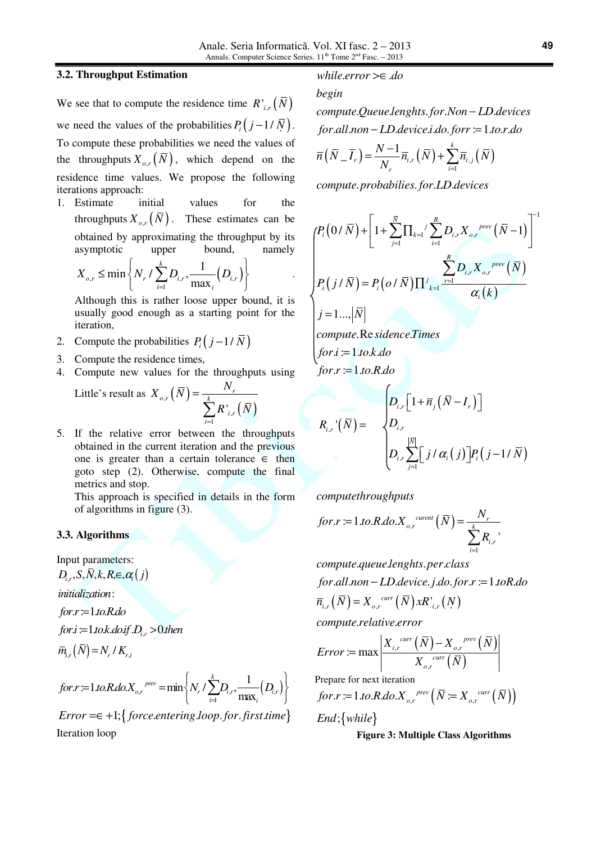## **3.2. Throughput Estimation**

We see that to compute the residence time  $R'_{i,r}(N)$ we need the values of the probabilities  $P_i(j-1/N)$ . To compute these probabilities we need the values of the throughputs  $X_{\rho,r}(\overline{N})$ , which depend on the residence time values. We propose the following iterations approach:

1. Estimate initial values for the throughputs  $X_{o,r}(\overline{N})$ . These estimates can be obtained by approximating the throughput by its asymptotic upper bound, namely

$$
X_{o,r} \leq \min \left\{ N_r / \sum_{i=1}^k D_{i,r}, \frac{1}{\max_i} (D_{i,r}) \right\} \qquad .
$$

Although this is rather loose upper bound, it is usually good enough as a starting point for the iteration,

- 2. Compute the probabilities  $P_i(j-1/\bar{N})$
- 3. Compute the residence times,
- 4. Compute new values for the throughputs using

Little's result as 
$$
X_{o,r}(\overline{N}) = \frac{N_r}{\sum_{i=1}^{k} R'_{i,r}(\overline{N})}
$$

5. If the relative error between the throughputs obtained in the current iteration and the previous one is greater than a certain tolerance  $\in$  then goto step (2). Otherwise, compute the final metrics and stop.

This approach is specified in details in the form of algorithms in figure (3).

## **3.3. Algorithms**

Input parameters:  $D_{i,r}$ , S, N, k, R, $\in$ ,  $\alpha_i(j)$ 

: *initialization*

for.r :=1*.to.R.do* 

for*i* :=1*.to.k.do.if .D<sub>i,r</sub>* >0*.then* 

$$
\overline{m}_{i,r}(N) = N_r / K_{r,i}
$$

 $\lambda = 0$ 

$$
for r := 1 to R.do.X_{o,r}^{pre} = min \left\{ N_r / \sum_{i=1}^{k} D_{i,r}, \frac{1}{\max_i} (D_{i,r}) \right\}
$$

 $Error = \epsilon + 1; \{ force. entering. loop. for. first. time\}$ Iteration loop

# *while.error* >∈ .do

# *begin*

. . . . . *compute Queue lenghts for Non LD devices* − *for.all.non* − LD.device.i.do.forr :=1.to.r.do

$$
\overline{n}\left(\overline{N}_{-}\overline{I}_{r}\right) = \frac{N-1}{N_{r}}\overline{n}_{i,r}\left(\overline{N}\right) + \sum_{i=1}^{k}\overline{n}_{i,j}\left(\overline{N}\right)
$$

. . . . *compute probabilies for LD devices*

$$
\begin{cases}\nP_i(0/\bar{N}) + \left[1 + \sum_{j=1}^{\bar{N}} \prod_{k=1}^{\bar{j}} \sum_{i=1}^R D_{i,r} X_{o,r}^{prev} (\bar{N}-1)\right]^{-1} \\
P_i(j/\bar{N}) = P_i(o/\bar{N}) \prod_{k=1}^{\bar{j}} \frac{\sum_{r=1}^R D_{i,r} X_{o,r}^{prev} (\bar{N})}{\alpha_i(k)} \\
j = 1 \dots |\bar{N}| \\
\text{compute. Re} \text{side} \text{nce} \text{times} \\
\text{for } i := 1 \text{ to } k \text{ do} \\
\text{for } r := 1 \text{ to } R \text{ do}\n\end{cases}
$$

$$
R_{i,r}(\overline{N}) = \begin{cases} D_{i,r} \left[ 1 + \overline{n}_j (\overline{N} - I_r) \right] \\ D_{i,r} \\ D_{i,r} \sum_{j=1}^{|\overline{N}|} \left[ j / \alpha_i (j) \right] P_i (j - 1 / \overline{N}) \end{cases}
$$

*computethroughputs*

$$
for r := 1. to R.do.Xo,r^{current}(\overline{N}) = \frac{N_r}{\sum_{i=1}^{k} R_{i,r}},
$$

. . . . *compute queue lenghts per class for.all.non* − LD.device.j.do.for.r :=1.toR.do

$$
\overline{n}_{i,r}(\overline{N})=X_{o,r}^{curr}(\overline{N})xR'_{i,r}(N)
$$

. . *compute relative error*

$$
Error := \max \left| \frac{X_{i,r}^{curr}(\bar{N}) - X_{o,r}^{prev}(\bar{N})}{X_{o,r}^{curr}(\bar{N})} \right|
$$

Prepare for next iteration

$$
for r := 1. to R.do.X_{o,r}^{prev} \left( \overline{N} := X_{o,r}^{curr} \left( \overline{N} \right) \right)
$$

 $End$ ; {while}

**Figure 3: Multiple Class Algorithms**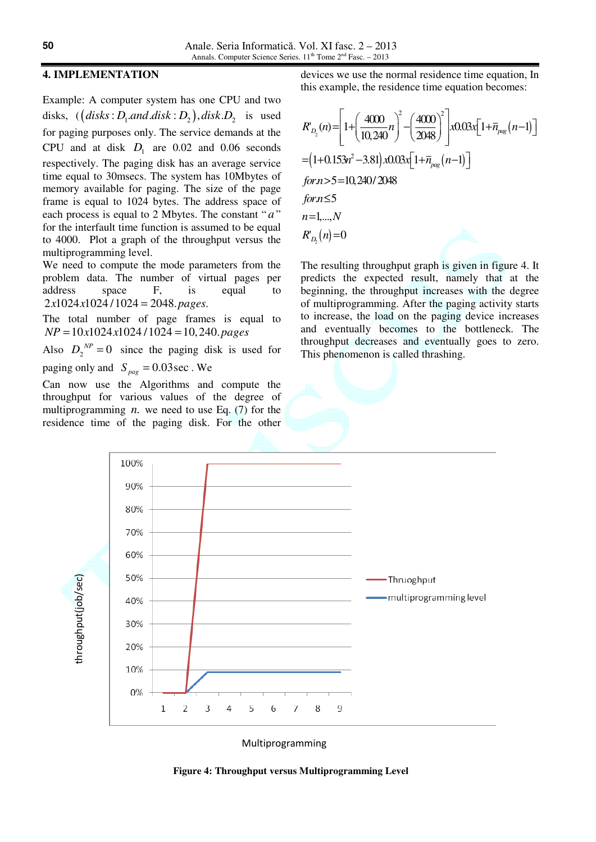# **4. IMPLEMENTATION**

Example: A computer system has one CPU and two disks,  $((disks: D<sub>1</sub> and disk: D<sub>2</sub>), disk. D<sub>3</sub>$  is used for paging purposes only. The service demands at the CPU and at disk  $D_1$  are 0.02 and 0.06 seconds respectively. The paging disk has an average service time equal to 30msecs. The system has 10Mbytes of memory available for paging. The size of the page frame is equal to 1024 bytes. The address space of each process is equal to 2 Mbytes. The constant "*a*" for the interfault time function is assumed to be equal to 4000. Plot a graph of the throughput versus the multiprogramming level.

We need to compute the mode parameters from the problem data. The number of virtual pages per address space F, is equal to  $2x1024x1024/1024 = 2048 \cdot pages.$ 

The total number of page frames is equal to  $NP = 10x1024x1024/1024 = 10,240, pages$ 

Also  $D_2^{\ N} = 0$  since the paging disk is used for paging only and  $S_{\text{pag}} = 0.03 \text{ sec}$ . We

Can now use the Algorithms and compute the throughput for various values of the degree of multiprogramming  $n$ , we need to use Eq. (7) for the residence time of the paging disk. For the other

devices we use the normal residence time equation, In this example, the residence time equation becomes:

$$
R'_{D_2}(n) = \left[1 + \left(\frac{4000}{10,240}n\right)^2 - \left(\frac{4000}{2048}\right)^2\right] \times 0.03 \times \left[1 + \overline{n}_{\text{pkg}}(n-1)\right]
$$
  
=  $\left(1 + 0.153n^2 - 3.81\right) \times 0.03 \times \left[1 + \overline{n}_{\text{pkg}}(n-1)\right]$   
for  $n > 5 = 10,240/2048$   
for  $n \le 5$   
 $n = 1,...,N$   
 $R'_{D_2}(n) = 0$ 

The resulting throughput graph is given in figure 4. It predicts the expected result, namely that at the beginning, the throughput increases with the degree of multiprogramming. After the paging activity starts to increase, the load on the paging device increases and eventually becomes to the bottleneck. The throughput decreases and eventually goes to zero. This phenomenon is called thrashing.



Multiprogramming

**Figure 4: Throughput versus Multiprogramming Level**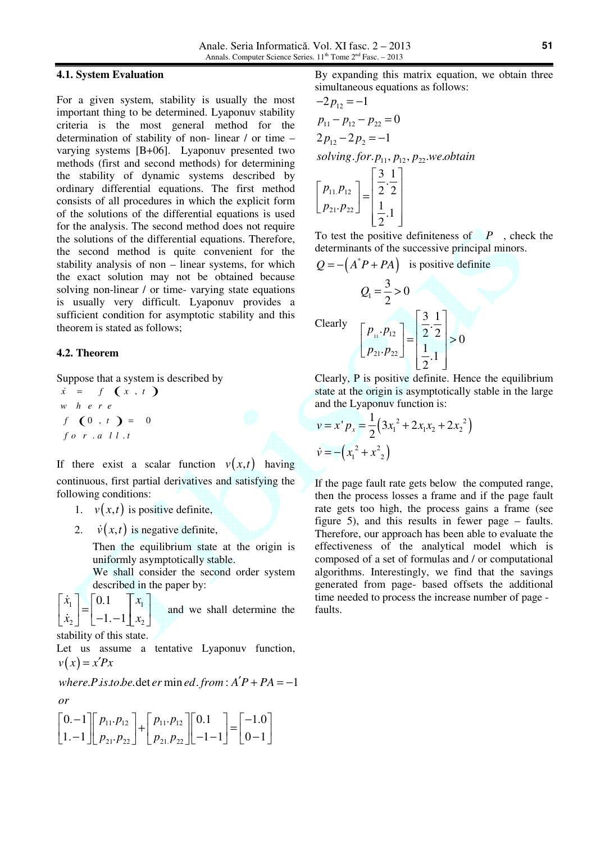#### **4.1. System Evaluation**

For a given system, stability is usually the most important thing to be determined. Lyaponuv stability criteria is the most general method for the determination of stability of non- linear / or time – varying systems [B+06]. Lyaponuv presented two methods (first and second methods) for determining the stability of dynamic systems described by ordinary differential equations. The first method consists of all procedures in which the explicit form of the solutions of the differential equations is used for the analysis. The second method does not require the solutions of the differential equations. Therefore, the second method is quite convenient for the stability analysis of non – linear systems, for which the exact solution may not be obtained because solving non-linear / or time- varying state equations is usually very difficult. Lyaponuv provides a sufficient condition for asymptotic stability and this theorem is stated as follows;

#### **4.2. Theorem**

Suppose that a system is described by

The uppose that a system  $\vec{x} = f(x, t)$ f  $(0, t) = 0$ . . *f o r a l l t w h e r e*

If there exist a scalar function  $v(x,t)$  having continuous, first partial derivatives and satisfying the following conditions:

- 1.  $v(x,t)$  is positive definite,
- 2.  $\dot{v}(x,t)$  is negative definite,

Then the equilibrium state at the origin is uniformly asymptotically stable.

We shall consider the second order system described in the paper by:

 $x_1$  $\begin{bmatrix} x_1 \\ \dot{x}_2 \end{bmatrix} = \begin{bmatrix} 0 & 1 \\ -1 & -1 \end{bmatrix} \begin{bmatrix} x_1 \\ x_2 \end{bmatrix}$  $\lceil \dot{x}_1 \rceil$   $\lceil 0.1 \rceil$   $\lceil x_1 \rceil$ & & and we shall determine the stability of this state.

Let us assume a tentative Lyaponuv function,

 $v(x) = x'Px$ 

 $where P.is.to.be.\det er \min ed.from : A'P + PA = -1$ *or*

$$
\begin{bmatrix} 0 & -1 \\ 1 & -1 \end{bmatrix} \begin{bmatrix} p_{11} \cdot p_{12} \\ p_{21} \cdot p_{22} \end{bmatrix} + \begin{bmatrix} p_{11} \cdot p_{12} \\ p_{21} \cdot p_{22} \end{bmatrix} \begin{bmatrix} 0 & 1 \\ -1 & -1 \end{bmatrix} = \begin{bmatrix} -1 & 0 \\ 0 & -1 \end{bmatrix}
$$

By expanding this matrix equation, we obtain three simultaneous equations as follows:

$$
-2 p_{12} = -1
$$
  
\n
$$
p_{11} - p_{12} - p_{22} = 0
$$
  
\n
$$
2 p_{12} - 2 p_2 = -1
$$
  
\n*solving for*. $p_{11}$ ,  $p_{12}$ ,  $p_{22}$ .*we.obtain*  
\n
$$
\begin{bmatrix} p_{11}p_{12} \\ p_{21} \cdot p_{22} \end{bmatrix} = \begin{bmatrix} \frac{3}{2} & \frac{1}{2} \\ \frac{1}{2} & \frac{1}{2} \\ \frac{1}{2} & \frac{1}{2} \end{bmatrix}
$$

To test the positive definiteness of  $\mathbb{P}$ , check the determinants of the successive principal minors.

 $Q = -\left(A^*P + PA\right)$  is positive definite

Clearly  

$$
Q_{1} = \frac{3}{2} > 0
$$

$$
\begin{bmatrix} P_{11} \cdot P_{12} \\ P_{21} \cdot P_{22} \end{bmatrix} = \begin{bmatrix} \frac{3}{2} & \frac{1}{2} \\ \frac{1}{2} & \frac{1}{2} \end{bmatrix} > 0
$$

Clearly, P is positive definite. Hence the equilibrium state at the origin is asymptotically stable in the large and the Lyaponuv function is:

$$
v = x' p_x = \frac{1}{2} (3x_1^2 + 2x_1x_2 + 2x_2^2)
$$
  

$$
\dot{v} = - (x_1^2 + x_2^2)
$$

If the page fault rate gets below the computed range, then the process losses a frame and if the page fault rate gets too high, the process gains a frame (see figure 5), and this results in fewer page – faults. Therefore, our approach has been able to evaluate the effectiveness of the analytical model which is composed of a set of formulas and / or computational algorithms. Interestingly, we find that the savings generated from page- based offsets the additional time needed to process the increase number of page faults.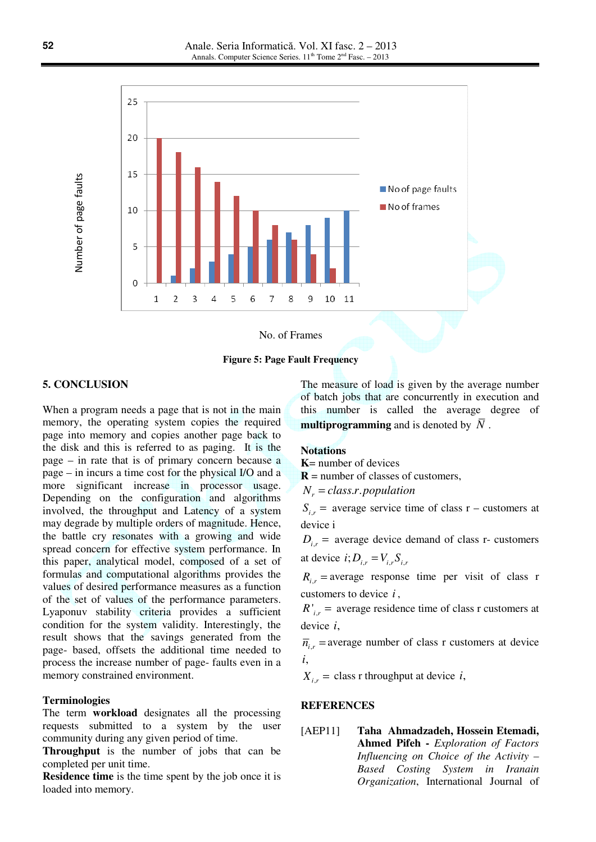

**Figure 5: Page Fault Frequency**

## **5. CONCLUSION**

When a program needs a page that is not in the main memory, the operating system copies the required page into memory and copies another page back to the disk and this is referred to as paging. It is the page – in rate that is of primary concern because a page – in incurs a time cost for the physical I/O and a more significant increase in processor usage. Depending on the configuration and algorithms involved, the throughput and Latency of a system may degrade by multiple orders of magnitude. Hence, the battle cry resonates with a growing and wide spread concern for effective system performance. In this paper, analytical model, composed of a set of formulas and computational algorithms provides the values of desired performance measures as a function of the set of values of the performance parameters. Lyaponuv stability criteria provides a sufficient condition for the system validity. Interestingly, the result shows that the savings generated from the page- based, offsets the additional time needed to process the increase number of page- faults even in a memory constrained environment.

#### **Terminologies**

The term **workload** designates all the processing requests submitted to a system by the user community during any given period of time.

**Throughput** is the number of jobs that can be completed per unit time.

**Residence time** is the time spent by the job once it is loaded into memory.

The measure of load is given by the average number of batch jobs that are concurrently in execution and this number is called the average degree of **multiprogramming** and is denoted by  $\overline{N}$ .

## **Notations**

**K**= number of devices

 $\bf{R}$  = number of classes of customers,

 $N_r = class.r. population$ 

 $S_{i,r}$  = average service time of class r – customers at device i

 $D_i$ <sub>r</sub> = average device demand of class r- customers at device  $i; D_{i,r} = V_{i,r} S_{i,r}$ 

 $R_i$  = average response time per visit of class r customers to device *i* ,

 $R'_{i,r}$  = average residence time of class r customers at device *i*,

 $\overline{n}_{i,r}$  = average number of class r customers at device *i*,

 $X_{i,r}$  = class r throughput at device *i*,

# **REFERENCES**

# [AEP11] **Taha Ahmadzadeh, Hossein Etemadi, Ahmed Pifeh -** *Exploration of Factors Influencing on Choice of the Activity – Based Costing System in Iranain Organization*, International Journal of